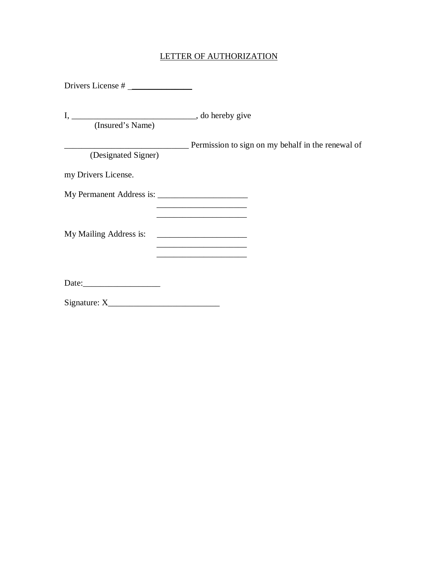## LETTER OF AUTHORIZATION

| Drivers License #   |                                                                                                                       |
|---------------------|-----------------------------------------------------------------------------------------------------------------------|
| (Insured's Name)    |                                                                                                                       |
| (Designated Signer) | <u>Depends</u> Permission to sign on my behalf in the renewal of                                                      |
| my Drivers License. |                                                                                                                       |
|                     | the control of the control of the control of the control of the control of                                            |
|                     | <u> 1989 - Johann Barbara, martin amerikan basal dan berasal dalam basal dalam basal dalam basal dalam basal dala</u> |
|                     |                                                                                                                       |
|                     |                                                                                                                       |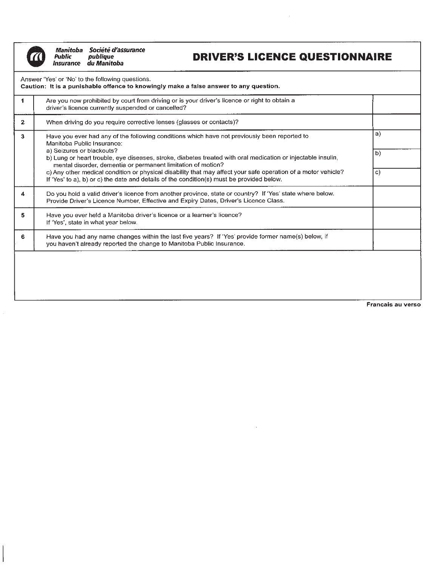$\overline{\phantom{a}}$ 

Manitoba Société d'assurance Public<br>Insurance du Manitoba

## **DRIVER'S LICENCE QUESTIONNAIRE**

 $\mathcal{A}^{\mathcal{A}}$ 

| 1              | Are you now prohibited by court from driving or is your driver's licence or right to obtain a<br>driver's licence currently suspended or cancelled?                                                                                                                        |                  |
|----------------|----------------------------------------------------------------------------------------------------------------------------------------------------------------------------------------------------------------------------------------------------------------------------|------------------|
| 2 <sub>1</sub> | When driving do you require corrective lenses (glasses or contacts)?                                                                                                                                                                                                       |                  |
| $\mathbf{3}$   | Have you ever had any of the following conditions which have not previously been reported to<br>Manitoba Public Insurance:<br>a) Seizures or blackouts?<br>b) Lung or heart trouble, eye diseases, stroke, diabetes treated with oral medication or injectable insulin,    | a)<br>$\vert$ b) |
|                | mental disorder, dementia or permanent limitation of motion?<br>c) Any other medical condition or physical disability that may affect your safe operation of a motor vehicle?<br>If 'Yes' to a), b) or c) the date and details of the condition(s) must be provided below. | C)               |
| 4              | Do you hold a valid driver's licence from another province, state or country? If 'Yes' state where below.<br>Provide Driver's Licence Number, Effective and Expiry Dates, Driver's Licence Class.                                                                          |                  |
| 5.             | Have you ever held a Manitoba driver's licence or a learner's licence?<br>If 'Yes', state in what year below.                                                                                                                                                              |                  |
| 6              | Have you had any name changes within the last five years? If 'Yes' provide former name(s) below, if<br>you haven't already reported the change to Manitoba Public Insurance.                                                                                               |                  |

 $\alpha$ 

Francais au verso